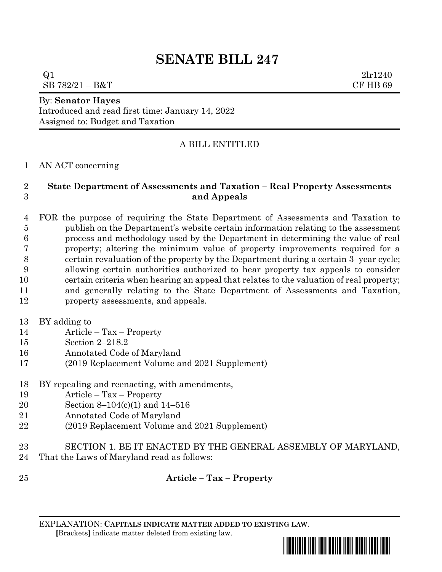# **SENATE BILL 247**

 $Q1$   $2\text{lr}1240$  $SB 782/21 - B&T$  CF HB 69

# By: **Senator Hayes**

Introduced and read first time: January 14, 2022 Assigned to: Budget and Taxation

# A BILL ENTITLED

AN ACT concerning

#### **State Department of Assessments and Taxation – Real Property Assessments and Appeals**

 FOR the purpose of requiring the State Department of Assessments and Taxation to publish on the Department's website certain information relating to the assessment process and methodology used by the Department in determining the value of real property; altering the minimum value of property improvements required for a certain revaluation of the property by the Department during a certain 3–year cycle; allowing certain authorities authorized to hear property tax appeals to consider certain criteria when hearing an appeal that relates to the valuation of real property; and generally relating to the State Department of Assessments and Taxation, property assessments, and appeals.

BY adding to

- Article Tax Property
- Section 2–218.2
- Annotated Code of Maryland
- (2019 Replacement Volume and 2021 Supplement)
- BY repealing and reenacting, with amendments,
- Article Tax Property
- Section 8–104(c)(1) and 14–516
- Annotated Code of Maryland
- (2019 Replacement Volume and 2021 Supplement)
- SECTION 1. BE IT ENACTED BY THE GENERAL ASSEMBLY OF MARYLAND,
- That the Laws of Maryland read as follows:
- 

# **Article – Tax – Property**

EXPLANATION: **CAPITALS INDICATE MATTER ADDED TO EXISTING LAW**.  **[**Brackets**]** indicate matter deleted from existing law.

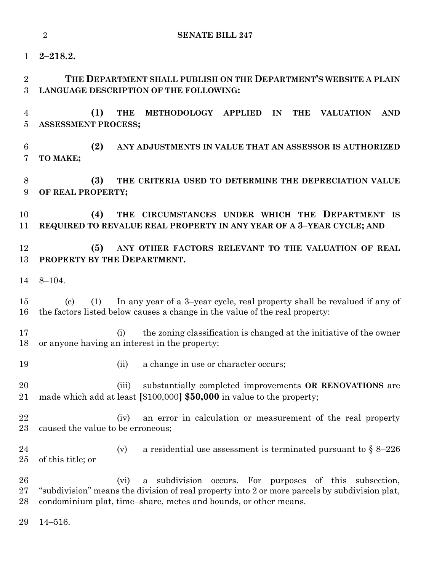|                      | $\overline{2}$<br><b>SENATE BILL 247</b>                                                                                                                                                                                           |  |  |
|----------------------|------------------------------------------------------------------------------------------------------------------------------------------------------------------------------------------------------------------------------------|--|--|
| 1                    | $2 - 218.2.$                                                                                                                                                                                                                       |  |  |
| $\overline{2}$<br>3  | THE DEPARTMENT SHALL PUBLISH ON THE DEPARTMENT'S WEBSITE A PLAIN<br>LANGUAGE DESCRIPTION OF THE FOLLOWING:                                                                                                                         |  |  |
| 4<br>$\overline{5}$  | (1)<br><b>THE</b><br>METHODOLOGY APPLIED<br><b>THE</b><br>IN<br><b>VALUATION</b><br><b>AND</b><br><b>ASSESSMENT PROCESS;</b>                                                                                                       |  |  |
| $6\phantom{.}6$<br>7 | (2)<br>ANY ADJUSTMENTS IN VALUE THAT AN ASSESSOR IS AUTHORIZED<br>TO MAKE;                                                                                                                                                         |  |  |
| 8<br>9               | (3)<br>THE CRITERIA USED TO DETERMINE THE DEPRECIATION VALUE<br>OF REAL PROPERTY;                                                                                                                                                  |  |  |
| 10<br>11             | (4)<br>THE CIRCUMSTANCES UNDER WHICH THE DEPARTMENT IS<br>REQUIRED TO REVALUE REAL PROPERTY IN ANY YEAR OF A 3-YEAR CYCLE; AND                                                                                                     |  |  |
| 12<br>13             | (5)<br>ANY OTHER FACTORS RELEVANT TO THE VALUATION OF REAL<br>PROPERTY BY THE DEPARTMENT.                                                                                                                                          |  |  |
| 14                   | $8 - 104.$                                                                                                                                                                                                                         |  |  |
| 15<br>16             | In any year of a 3-year cycle, real property shall be revalued if any of<br>(1)<br>$\left( \mathrm{c}\right)$<br>the factors listed below causes a change in the value of the real property:                                       |  |  |
| 17<br>18             | the zoning classification is changed at the initiative of the owner<br>(i)<br>or anyone having an interest in the property;                                                                                                        |  |  |
| 19                   | (ii)<br>a change in use or character occurs;                                                                                                                                                                                       |  |  |
| 20<br>21             | substantially completed improvements OR RENOVATIONS are<br>(iii)<br>made which add at least [\$100,000] \$50,000 in value to the property;                                                                                         |  |  |
| 22<br>23             | an error in calculation or measurement of the real property<br>(iv)<br>caused the value to be erroneous;                                                                                                                           |  |  |
| 24<br>$25\,$         | (v)<br>a residential use assessment is terminated pursuant to $\S 8-226$<br>of this title; or                                                                                                                                      |  |  |
| 26<br>$27\,$<br>28   | a subdivision occurs. For purposes of this subsection,<br>(vi)<br>"subdivision" means the division of real property into 2 or more parcels by subdivision plat,<br>condominium plat, time-share, metes and bounds, or other means. |  |  |
| 29                   | $14 - 516.$                                                                                                                                                                                                                        |  |  |